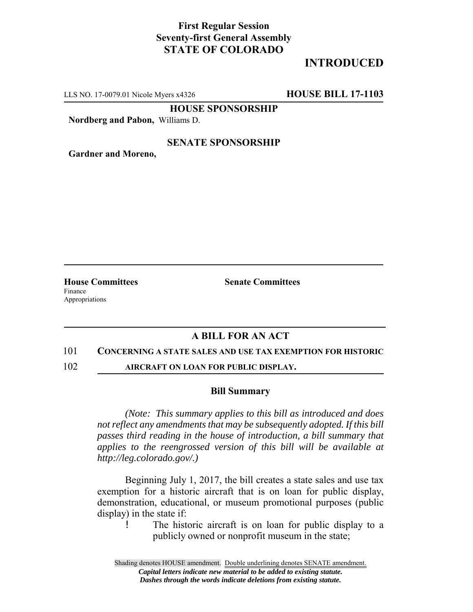## **First Regular Session Seventy-first General Assembly STATE OF COLORADO**

# **INTRODUCED**

LLS NO. 17-0079.01 Nicole Myers x4326 **HOUSE BILL 17-1103**

**HOUSE SPONSORSHIP**

**Nordberg and Pabon,** Williams D.

### **SENATE SPONSORSHIP**

**Gardner and Moreno,**

Finance Appropriations

**House Committees Senate Committees** 

## **A BILL FOR AN ACT**

### 101 **CONCERNING A STATE SALES AND USE TAX EXEMPTION FOR HISTORIC**

102 **AIRCRAFT ON LOAN FOR PUBLIC DISPLAY.**

### **Bill Summary**

*(Note: This summary applies to this bill as introduced and does not reflect any amendments that may be subsequently adopted. If this bill passes third reading in the house of introduction, a bill summary that applies to the reengrossed version of this bill will be available at http://leg.colorado.gov/.)*

Beginning July 1, 2017, the bill creates a state sales and use tax exemption for a historic aircraft that is on loan for public display, demonstration, educational, or museum promotional purposes (public display) in the state if:

! The historic aircraft is on loan for public display to a publicly owned or nonprofit museum in the state;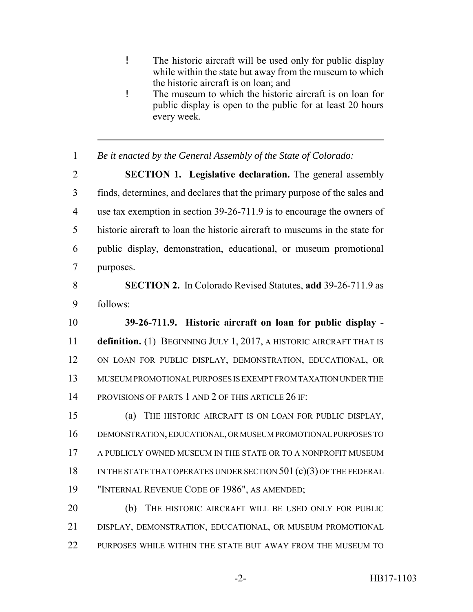- ! The historic aircraft will be used only for public display while within the state but away from the museum to which the historic aircraft is on loan; and
- ! The museum to which the historic aircraft is on loan for public display is open to the public for at least 20 hours every week.
- *Be it enacted by the General Assembly of the State of Colorado:*

 **SECTION 1. Legislative declaration.** The general assembly finds, determines, and declares that the primary purpose of the sales and use tax exemption in section 39-26-711.9 is to encourage the owners of historic aircraft to loan the historic aircraft to museums in the state for public display, demonstration, educational, or museum promotional purposes.

 **SECTION 2.** In Colorado Revised Statutes, **add** 39-26-711.9 as follows:

 **39-26-711.9. Historic aircraft on loan for public display - definition.** (1) BEGINNING JULY 1, 2017, A HISTORIC AIRCRAFT THAT IS ON LOAN FOR PUBLIC DISPLAY, DEMONSTRATION, EDUCATIONAL, OR MUSEUM PROMOTIONAL PURPOSES IS EXEMPT FROM TAXATION UNDER THE PROVISIONS OF PARTS 1 AND 2 OF THIS ARTICLE 26 IF:

 (a) THE HISTORIC AIRCRAFT IS ON LOAN FOR PUBLIC DISPLAY, DEMONSTRATION, EDUCATIONAL, OR MUSEUM PROMOTIONAL PURPOSES TO A PUBLICLY OWNED MUSEUM IN THE STATE OR TO A NONPROFIT MUSEUM 18 IN THE STATE THAT OPERATES UNDER SECTION 501 (c)(3) OF THE FEDERAL "INTERNAL REVENUE CODE OF 1986", AS AMENDED;

20 (b) THE HISTORIC AIRCRAFT WILL BE USED ONLY FOR PUBLIC DISPLAY, DEMONSTRATION, EDUCATIONAL, OR MUSEUM PROMOTIONAL 22 PURPOSES WHILE WITHIN THE STATE BUT AWAY FROM THE MUSEUM TO